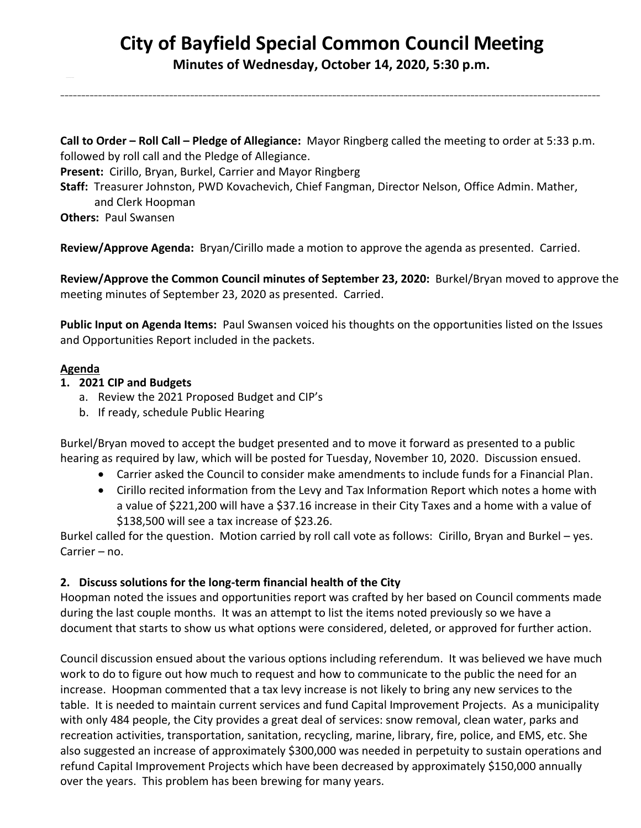## **City of Bayfield Special Common Council Meeting Minutes of Wednesday, October 14, 2020, 5:30 p.m.**

\_\_\_\_\_\_\_\_\_\_\_\_\_\_\_\_\_\_\_\_\_\_\_\_\_\_\_\_\_\_\_\_\_\_\_\_\_\_\_\_\_\_\_\_\_\_\_\_\_\_\_\_\_\_\_\_\_\_\_\_\_\_\_\_\_\_\_\_\_\_\_\_\_\_\_\_\_\_\_\_\_\_\_\_\_\_\_\_\_\_\_\_\_\_\_\_\_\_\_\_\_\_\_\_\_\_\_\_\_\_\_\_\_\_\_\_\_\_\_\_\_\_\_\_\_\_\_\_\_

**Call to Order – Roll Call – Pledge of Allegiance:** Mayor Ringberg called the meeting to order at 5:33 p.m. followed by roll call and the Pledge of Allegiance.

**Present:** Cirillo, Bryan, Burkel, Carrier and Mayor Ringberg

**Staff:** Treasurer Johnston, PWD Kovachevich, Chief Fangman, Director Nelson, Office Admin. Mather, and Clerk Hoopman

**Others:** Paul Swansen

**Review/Approve Agenda:** Bryan/Cirillo made a motion to approve the agenda as presented. Carried.

**Review/Approve the Common Council minutes of September 23, 2020:** Burkel/Bryan moved to approve the meeting minutes of September 23, 2020 as presented. Carried.

**Public Input on Agenda Items:** Paul Swansen voiced his thoughts on the opportunities listed on the Issues and Opportunities Report included in the packets.

## **Agenda**

## **1. 2021 CIP and Budgets**

- a. Review the 2021 Proposed Budget and CIP's
- b. If ready, schedule Public Hearing

Burkel/Bryan moved to accept the budget presented and to move it forward as presented to a public hearing as required by law, which will be posted for Tuesday, November 10, 2020. Discussion ensued.

- Carrier asked the Council to consider make amendments to include funds for a Financial Plan.
- Cirillo recited information from the Levy and Tax Information Report which notes a home with a value of \$221,200 will have a \$37.16 increase in their City Taxes and a home with a value of \$138,500 will see a tax increase of \$23.26.

Burkel called for the question. Motion carried by roll call vote as follows: Cirillo, Bryan and Burkel – yes. Carrier – no.

## **2. Discuss solutions for the long-term financial health of the City**

Hoopman noted the issues and opportunities report was crafted by her based on Council comments made during the last couple months. It was an attempt to list the items noted previously so we have a document that starts to show us what options were considered, deleted, or approved for further action.

Council discussion ensued about the various options including referendum. It was believed we have much work to do to figure out how much to request and how to communicate to the public the need for an increase. Hoopman commented that a tax levy increase is not likely to bring any new services to the table. It is needed to maintain current services and fund Capital Improvement Projects. As a municipality with only 484 people, the City provides a great deal of services: snow removal, clean water, parks and recreation activities, transportation, sanitation, recycling, marine, library, fire, police, and EMS, etc. She also suggested an increase of approximately \$300,000 was needed in perpetuity to sustain operations and refund Capital Improvement Projects which have been decreased by approximately \$150,000 annually over the years. This problem has been brewing for many years.